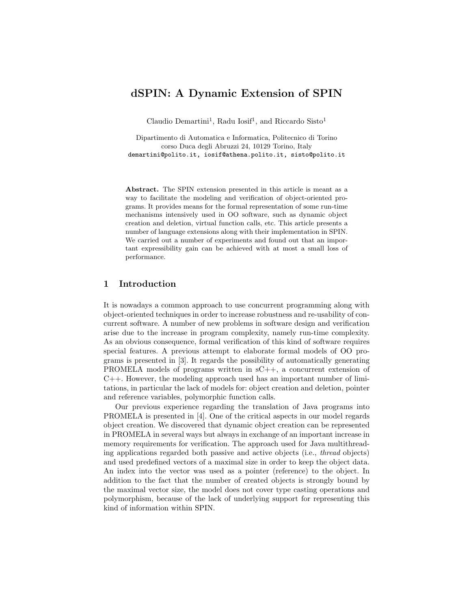# **dSPIN: A Dynamic Extension of SPIN**

Claudio Demartini<sup>1</sup>, Radu Iosif<sup>1</sup>, and Riccardo Sisto<sup>1</sup>

Dipartimento di Automatica e Informatica, Politecnico di Torino corso Duca degli Abruzzi 24, 10129 Torino, Italy demartini@polito.it, iosif@athena.polito.it, sisto@polito.it

**Abstract.** The SPIN extension presented in this article is meant as a way to facilitate the modeling and verification of object-oriented programs. It provides means for the formal representation of some run-time mechanisms intensively used in OO software, such as dynamic object creation and deletion, virtual function calls, etc. This article presents a number of language extensions along with their implementation in SPIN. We carried out a number of experiments and found out that an important expressibility gain can be achieved with at most a small loss of performance.

## **1 Introduction**

It is nowadays a common approach to use concurrent programming along with object-oriented techniques in order to increase robustness and re-usability of concurrent software. A number of new problems in software design and verification arise due to the increase in program complexity, namely run-time complexity. As an obvious consequence, formal verification of this kind of software requires special features. A previous attempt to elaborate formal models of OO programs is presented in [3]. It regards the possibility of automatically generating PROMELA models of programs written in  $sC++$ , a concurrent extension of C++. However, the modeling approach used has an important number of limitations, in particular the lack of models for: object creation and deletion, pointer and reference variables, polymorphic function calls.

Our previous experience regarding the translation of Java programs into PROMELA is presented in [4]. One of the critical aspects in our model regards object creation. We discovered that dynamic object creation can be represented in PROMELA in several ways but always in exchange of an important increase in memory requirements for verification. The approach used for Java multithreading applications regarded both passive and active objects (i.e., thread objects) and used predefined vectors of a maximal size in order to keep the object data. An index into the vector was used as a pointer (reference) to the object. In addition to the fact that the number of created objects is strongly bound by the maximal vector size, the model does not cover type casting operations and polymorphism, because of the lack of underlying support for representing this kind of information within SPIN.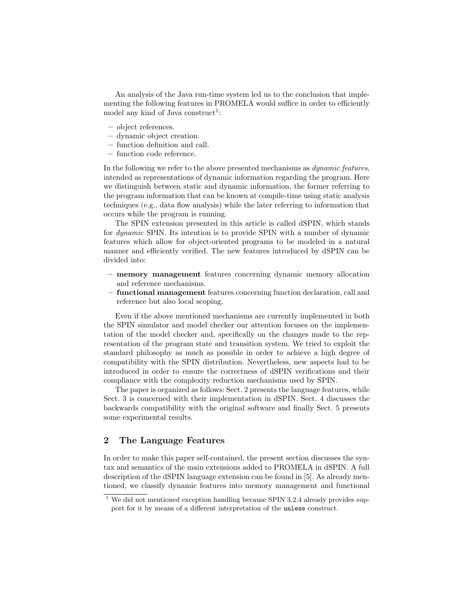An analysis of the Java run-time system led us to the conclusion that implementing the following features in PROMELA would suffice in order to efficiently model any kind of Java construct<sup>1</sup>:

- **–** object references.
- **–** dynamic object creation.
- **–** function definition and call.
- **–** function code reference.

In the following we refer to the above presented mechanisms as dynamic features, intended as representations of dynamic information regarding the program. Here we distinguish between static and dynamic information, the former referring to the program information that can be known at compile-time using static analysis techniques (e.g., data flow analysis) while the later referring to information that occurs while the program is running.

The SPIN extension presented in this article is called dSPIN, which stands for dynamic SPIN. Its intention is to provide SPIN with a number of dynamic features which allow for object-oriented programs to be modeled in a natural manner and efficiently verified. The new features introduced by dSPIN can be divided into:

- **memory management** features concerning dynamic memory allocation and reference mechanisms.
- **functional management** features concerning function declaration, call and reference but also local scoping.

Even if the above mentioned mechanisms are currently implemented in both the SPIN simulator and model checker our attention focuses on the implementation of the model checker and, specifically on the changes made to the representation of the program state and transition system. We tried to exploit the standard philosophy as much as possible in order to achieve a high degree of compatibility with the SPIN distribution. Nevertheless, new aspects had to be introduced in order to ensure the correctness of dSPIN verifications and their compliance with the complexity reduction mechanisms used by SPIN.

The paper is organized as follows: Sect. 2 presents the language features, while Sect. 3 is concerned with their implementation in dSPIN. Sect. 4 discusses the backwards compatibility with the original software and finally Sect. 5 presents some experimental results.

# **2 The Language Features**

In order to make this paper self-contained, the present section discusses the syntax and semantics of the main extensions added to PROMELA in dSPIN. A full description of the dSPIN language extension can be found in [5]. As already mentioned, we classify dynamic features into memory management and functional

 $^1$  We did not mentioned exception handling because SPIN 3.2.4 already provides support for it by means of a different interpretation of the unless construct.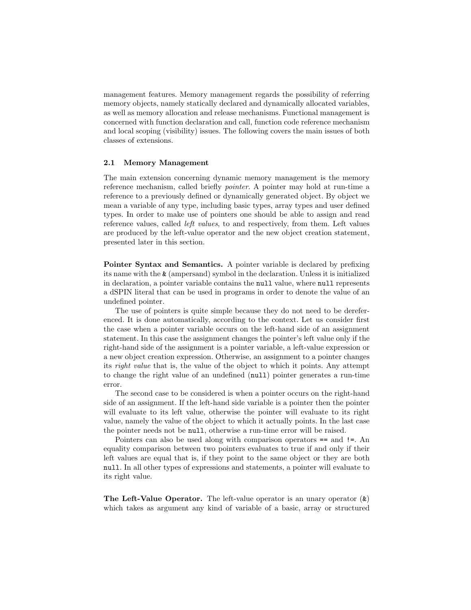management features. Memory management regards the possibility of referring memory objects, namely statically declared and dynamically allocated variables, as well as memory allocation and release mechanisms. Functional management is concerned with function declaration and call, function code reference mechanism and local scoping (visibility) issues. The following covers the main issues of both classes of extensions.

## **2.1 Memory Management**

The main extension concerning dynamic memory management is the memory reference mechanism, called briefly pointer. A pointer may hold at run-time a reference to a previously defined or dynamically generated object. By object we mean a variable of any type, including basic types, array types and user defined types. In order to make use of pointers one should be able to assign and read reference values, called left values, to and respectively, from them. Left values are produced by the left-value operator and the new object creation statement, presented later in this section.

**Pointer Syntax and Semantics.** A pointer variable is declared by prefixing its name with the & (ampersand) symbol in the declaration. Unless it is initialized in declaration, a pointer variable contains the null value, where null represents a dSPIN literal that can be used in programs in order to denote the value of an undefined pointer.

The use of pointers is quite simple because they do not need to be dereferenced. It is done automatically, according to the context. Let us consider first the case when a pointer variable occurs on the left-hand side of an assignment statement. In this case the assignment changes the pointer's left value only if the right-hand side of the assignment is a pointer variable, a left-value expression or a new object creation expression. Otherwise, an assignment to a pointer changes its right value that is, the value of the object to which it points. Any attempt to change the right value of an undefined (null) pointer generates a run-time error.

The second case to be considered is when a pointer occurs on the right-hand side of an assignment. If the left-hand side variable is a pointer then the pointer will evaluate to its left value, otherwise the pointer will evaluate to its right value, namely the value of the object to which it actually points. In the last case the pointer needs not be null, otherwise a run-time error will be raised.

Pointers can also be used along with comparison operators == and !=. An equality comparison between two pointers evaluates to true if and only if their left values are equal that is, if they point to the same object or they are both null. In all other types of expressions and statements, a pointer will evaluate to its right value.

**The Left-Value Operator.** The left-value operator is an unary operator (&) which takes as argument any kind of variable of a basic, array or structured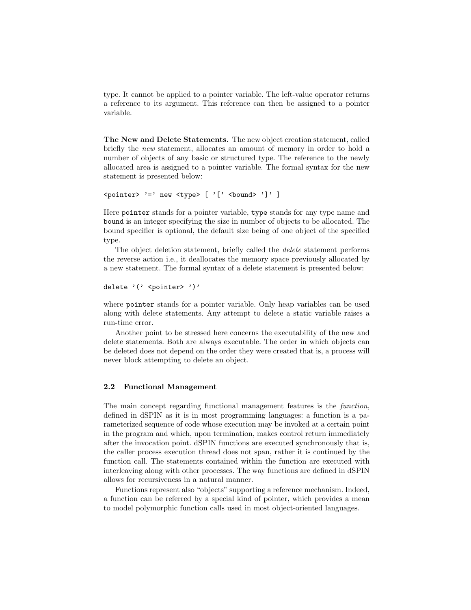type. It cannot be applied to a pointer variable. The left-value operator returns a reference to its argument. This reference can then be assigned to a pointer variable.

**The New and Delete Statements.** The new object creation statement, called briefly the new statement, allocates an amount of memory in order to hold a number of objects of any basic or structured type. The reference to the newly allocated area is assigned to a pointer variable. The formal syntax for the new statement is presented below:

```
\{ \text{pointer} > \text{ } ' = ' \text{ new } \langle \text{type} \rangle \; [ ' [ ' \; \langle \text{bound} \rangle \; ' ] ' ] \; ]
```
Here pointer stands for a pointer variable, type stands for any type name and bound is an integer specifying the size in number of objects to be allocated. The bound specifier is optional, the default size being of one object of the specified type.

The object deletion statement, briefly called the *delete* statement performs the reverse action i.e., it deallocates the memory space previously allocated by a new statement. The formal syntax of a delete statement is presented below:

delete '(' <pointer> ')'

where pointer stands for a pointer variable. Only heap variables can be used along with delete statements. Any attempt to delete a static variable raises a run-time error.

Another point to be stressed here concerns the executability of the new and delete statements. Both are always executable. The order in which objects can be deleted does not depend on the order they were created that is, a process will never block attempting to delete an object.

## **2.2 Functional Management**

The main concept regarding functional management features is the function, defined in dSPIN as it is in most programming languages: a function is a parameterized sequence of code whose execution may be invoked at a certain point in the program and which, upon termination, makes control return immediately after the invocation point. dSPIN functions are executed synchronously that is, the caller process execution thread does not span, rather it is continued by the function call. The statements contained within the function are executed with interleaving along with other processes. The way functions are defined in dSPIN allows for recursiveness in a natural manner.

Functions represent also "objects" supporting a reference mechanism. Indeed, a function can be referred by a special kind of pointer, which provides a mean to model polymorphic function calls used in most object-oriented languages.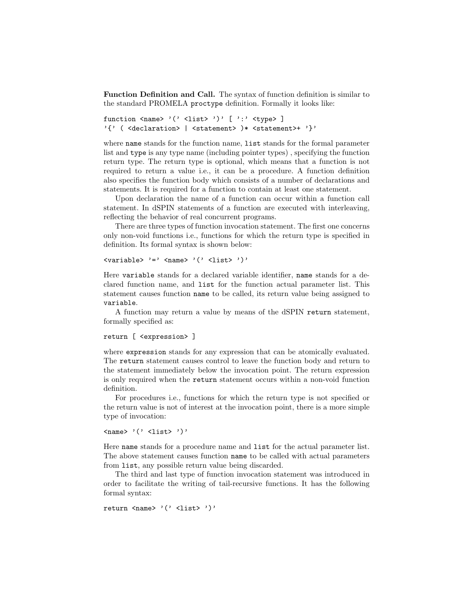**Function Definition and Call.** The syntax of function definition is similar to the standard PROMELA proctype definition. Formally it looks like:

```
function <name> '(' <list> ')' [':' <type> ]
'\{' (<declaration> | <statement> )* <statement>+ '}'
```
where name stands for the function name, list stands for the formal parameter list and type is any type name (including pointer types) , specifying the function return type. The return type is optional, which means that a function is not required to return a value i.e., it can be a procedure. A function definition also specifies the function body which consists of a number of declarations and statements. It is required for a function to contain at least one statement.

Upon declaration the name of a function can occur within a function call statement. In dSPIN statements of a function are executed with interleaving, reflecting the behavior of real concurrent programs.

There are three types of function invocation statement. The first one concerns only non-void functions i.e., functions for which the return type is specified in definition. Its formal syntax is shown below:

```
\langle \text{variable} \rangle '=' \langle \text{name} \rangle '(' \langle \text{list} \rangle ')'
```
Here variable stands for a declared variable identifier, name stands for a declared function name, and list for the function actual parameter list. This statement causes function name to be called, its return value being assigned to variable.

A function may return a value by means of the dSPIN return statement, formally specified as:

## return [ <expression> ]

where expression stands for any expression that can be atomically evaluated. The return statement causes control to leave the function body and return to the statement immediately below the invocation point. The return expression is only required when the return statement occurs within a non-void function definition.

For procedures i.e., functions for which the return type is not specified or the return value is not of interest at the invocation point, there is a more simple type of invocation:

#### <name> '(' <list> ')'

Here name stands for a procedure name and list for the actual parameter list. The above statement causes function name to be called with actual parameters from list, any possible return value being discarded.

The third and last type of function invocation statement was introduced in order to facilitate the writing of tail-recursive functions. It has the following formal syntax:

```
return <name> '(' <list> ')'
```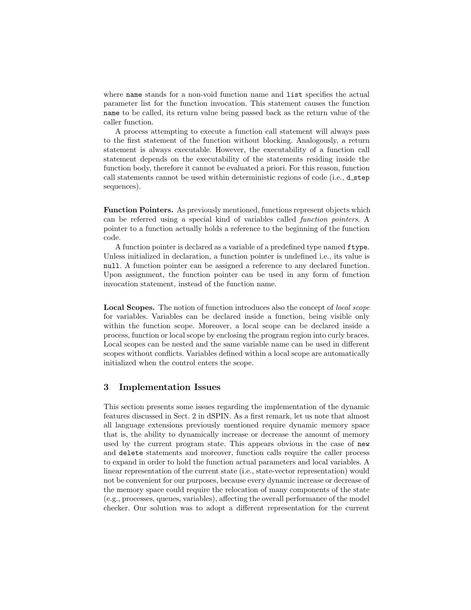where **name** stands for a non-void function name and **list** specifies the actual parameter list for the function invocation. This statement causes the function name to be called, its return value being passed back as the return value of the caller function.

A process attempting to execute a function call statement will always pass to the first statement of the function without blocking. Analogously, a return statement is always executable. However, the executability of a function call statement depends on the executability of the statements residing inside the function body, therefore it cannot be evaluated a priori. For this reason, function call statements cannot be used within deterministic regions of code (i.e., d\_step sequences).

**Function Pointers.** As previously mentioned, functions represent objects which can be referred using a special kind of variables called function pointers. A pointer to a function actually holds a reference to the beginning of the function code.

A function pointer is declared as a variable of a predefined type named ftype. Unless initialized in declaration, a function pointer is undefined i.e., its value is null. A function pointer can be assigned a reference to any declared function. Upon assignment, the function pointer can be used in any form of function invocation statement, instead of the function name.

**Local Scopes.** The notion of function introduces also the concept of local scope for variables. Variables can be declared inside a function, being visible only within the function scope. Moreover, a local scope can be declared inside a process, function or local scope by enclosing the program region into curly braces. Local scopes can be nested and the same variable name can be used in different scopes without conflicts. Variables defined within a local scope are automatically initialized when the control enters the scope.

# **3 Implementation Issues**

This section presents some issues regarding the implementation of the dynamic features discussed in Sect. 2 in dSPIN. As a first remark, let us note that almost all language extensions previously mentioned require dynamic memory space that is, the ability to dynamically increase or decrease the amount of memory used by the current program state. This appears obvious in the case of new and delete statements and moreover, function calls require the caller process to expand in order to hold the function actual parameters and local variables. A linear representation of the current state (i.e., state-vector representation) would not be convenient for our purposes, because every dynamic increase or decrease of the memory space could require the relocation of many components of the state (e.g., processes, queues, variables), affecting the overall performance of the model checker. Our solution was to adopt a different representation for the current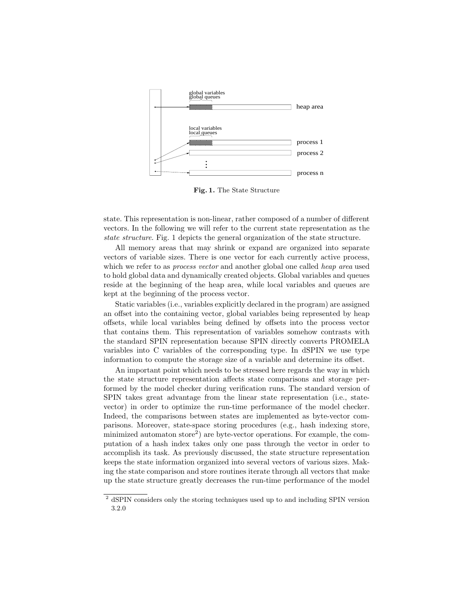

**Fig. 1.** The State Structure

state. This representation is non-linear, rather composed of a number of different vectors. In the following we will refer to the current state representation as the state structure. Fig. 1 depicts the general organization of the state structure.

All memory areas that may shrink or expand are organized into separate vectors of variable sizes. There is one vector for each currently active process, which we refer to as *process vector* and another global one called *heap area* used to hold global data and dynamically created objects. Global variables and queues reside at the beginning of the heap area, while local variables and queues are kept at the beginning of the process vector.

Static variables (i.e., variables explicitly declared in the program) are assigned an offset into the containing vector, global variables being represented by heap offsets, while local variables being defined by offsets into the process vector that contains them. This representation of variables somehow contrasts with the standard SPIN representation because SPIN directly converts PROMELA variables into C variables of the corresponding type. In dSPIN we use type information to compute the storage size of a variable and determine its offset.

An important point which needs to be stressed here regards the way in which the state structure representation affects state comparisons and storage performed by the model checker during verification runs. The standard version of SPIN takes great advantage from the linear state representation (i.e., statevector) in order to optimize the run-time performance of the model checker. Indeed, the comparisons between states are implemented as byte-vector comparisons. Moreover, state-space storing procedures (e.g., hash indexing store, minimized automaton store<sup>2</sup>) are byte-vector operations. For example, the computation of a hash index takes only one pass through the vector in order to accomplish its task. As previously discussed, the state structure representation keeps the state information organized into several vectors of various sizes. Making the state comparison and store routines iterate through all vectors that make up the state structure greatly decreases the run-time performance of the model

dSPIN considers only the storing techniques used up to and including SPIN version 3.2.0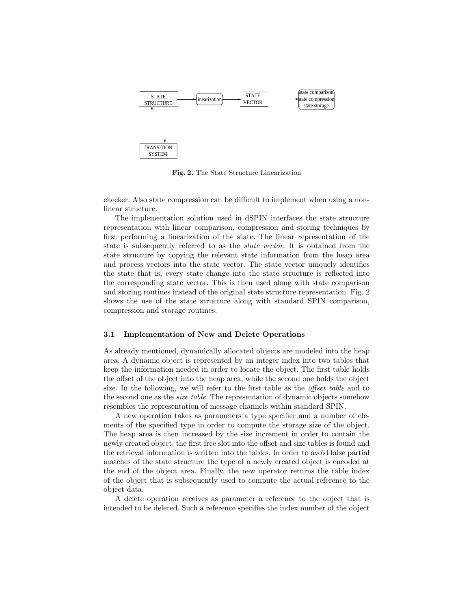

**Fig. 2.** The State Structure Linearization

checker. Also state compression can be difficult to implement when using a nonlinear structure.

The implementation solution used in dSPIN interfaces the state structure representation with linear comparison, compression and storing techniques by first performing a linearization of the state. The linear representation of the state is subsequently referred to as the state vector. It is obtained from the state structure by copying the relevant state information from the heap area and process vectors into the state vector. The state vector uniquely identifies the state that is, every state change into the state structure is reflected into the corresponding state vector. This is then used along with state comparison and storing routines instead of the original state structure representation. Fig. 2 shows the use of the state structure along with standard SPIN comparison, compression and storage routines.

#### **3.1 Implementation of New and Delete Operations**

As already mentioned, dynamically allocated objects are modeled into the heap area. A dynamic object is represented by an integer index into two tables that keep the information needed in order to locate the object. The first table holds the offset of the object into the heap area, while the second one holds the object size. In the following, we will refer to the first table as the offset table and to the second one as the size table. The representation of dynamic objects somehow resembles the representation of message channels within standard SPIN.

A new operation takes as parameters a type specifier and a number of elements of the specified type in order to compute the storage size of the object. The heap area is then increased by the size increment in order to contain the newly created object, the first free slot into the offset and size tables is found and the retrieval information is written into the tables. In order to avoid false partial matches of the state structure the type of a newly created object is encoded at the end of the object area. Finally, the new operator returns the table index of the object that is subsequently used to compute the actual reference to the object data.

A delete operation receives as parameter a reference to the object that is intended to be deleted. Such a reference specifies the index number of the object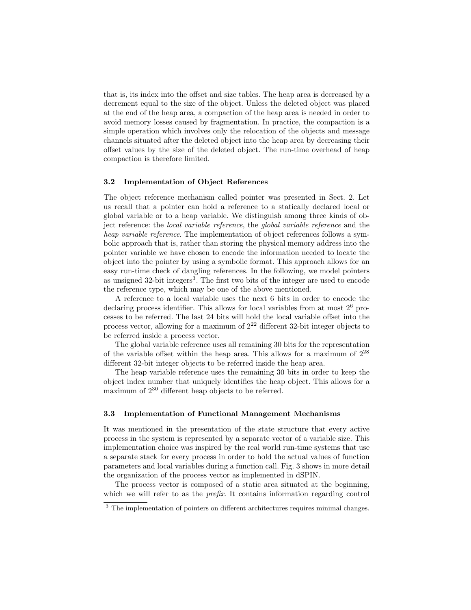that is, its index into the offset and size tables. The heap area is decreased by a decrement equal to the size of the object. Unless the deleted object was placed at the end of the heap area, a compaction of the heap area is needed in order to avoid memory losses caused by fragmentation. In practice, the compaction is a simple operation which involves only the relocation of the objects and message channels situated after the deleted object into the heap area by decreasing their offset values by the size of the deleted object. The run-time overhead of heap compaction is therefore limited.

#### **3.2 Implementation of Object References**

The object reference mechanism called pointer was presented in Sect. 2. Let us recall that a pointer can hold a reference to a statically declared local or global variable or to a heap variable. We distinguish among three kinds of object reference: the local variable reference, the global variable reference and the heap variable reference. The implementation of object references follows a symbolic approach that is, rather than storing the physical memory address into the pointer variable we have chosen to encode the information needed to locate the object into the pointer by using a symbolic format. This approach allows for an easy run-time check of dangling references. In the following, we model pointers as unsigned 32-bit integers<sup>3</sup>. The first two bits of the integer are used to encode the reference type, which may be one of the above mentioned.

A reference to a local variable uses the next 6 bits in order to encode the declaring process identifier. This allows for local variables from at most 2<sup>6</sup> processes to be referred. The last 24 bits will hold the local variable offset into the process vector, allowing for a maximum of  $2^{22}$  different 32-bit integer objects to be referred inside a process vector.

The global variable reference uses all remaining 30 bits for the representation of the variable offset within the heap area. This allows for a maximum of  $2^{28}$ different 32-bit integer objects to be referred inside the heap area.

The heap variable reference uses the remaining 30 bits in order to keep the object index number that uniquely identifies the heap object. This allows for a maximum of  $2^{30}$  different heap objects to be referred.

#### **3.3 Implementation of Functional Management Mechanisms**

It was mentioned in the presentation of the state structure that every active process in the system is represented by a separate vector of a variable size. This implementation choice was inspired by the real world run-time systems that use a separate stack for every process in order to hold the actual values of function parameters and local variables during a function call. Fig. 3 shows in more detail the organization of the process vector as implemented in dSPIN.

The process vector is composed of a static area situated at the beginning, which we will refer to as the *prefix*. It contains information regarding control

<sup>&</sup>lt;sup>3</sup> The implementation of pointers on different architectures requires minimal changes.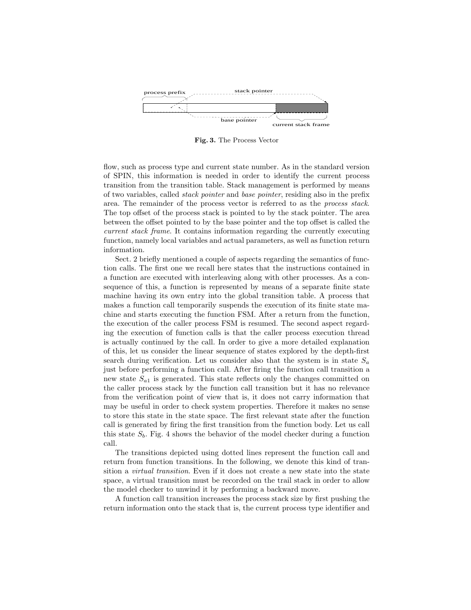

**Fig. 3.** The Process Vector

flow, such as process type and current state number. As in the standard version of SPIN, this information is needed in order to identify the current process transition from the transition table. Stack management is performed by means of two variables, called stack pointer and base pointer, residing also in the prefix area. The remainder of the process vector is referred to as the process stack. The top offset of the process stack is pointed to by the stack pointer. The area between the offset pointed to by the base pointer and the top offset is called the current stack frame. It contains information regarding the currently executing function, namely local variables and actual parameters, as well as function return information.

Sect. 2 briefly mentioned a couple of aspects regarding the semantics of function calls. The first one we recall here states that the instructions contained in a function are executed with interleaving along with other processes. As a consequence of this, a function is represented by means of a separate finite state machine having its own entry into the global transition table. A process that makes a function call temporarily suspends the execution of its finite state machine and starts executing the function FSM. After a return from the function, the execution of the caller process FSM is resumed. The second aspect regarding the execution of function calls is that the caller process execution thread is actually continued by the call. In order to give a more detailed explanation of this, let us consider the linear sequence of states explored by the depth-first search during verification. Let us consider also that the system is in state  $S_a$ just before performing a function call. After firing the function call transition a new state  $S_{a1}$  is generated. This state reflects only the changes committed on the caller process stack by the function call transition but it has no relevance from the verification point of view that is, it does not carry information that may be useful in order to check system properties. Therefore it makes no sense to store this state in the state space. The first relevant state after the function call is generated by firing the first transition from the function body. Let us call this state  $S_b$ . Fig. 4 shows the behavior of the model checker during a function call.

The transitions depicted using dotted lines represent the function call and return from function transitions. In the following, we denote this kind of transition a virtual transition. Even if it does not create a new state into the state space, a virtual transition must be recorded on the trail stack in order to allow the model checker to unwind it by performing a backward move.

A function call transition increases the process stack size by first pushing the return information onto the stack that is, the current process type identifier and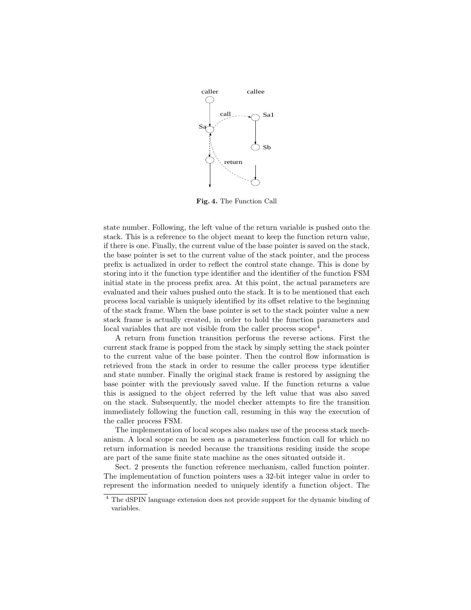

**Fig. 4.** The Function Call

state number. Following, the left value of the return variable is pushed onto the stack. This is a reference to the object meant to keep the function return value, if there is one. Finally, the current value of the base pointer is saved on the stack, the base pointer is set to the current value of the stack pointer, and the process prefix is actualized in order to reflect the control state change. This is done by storing into it the function type identifier and the identifier of the function FSM initial state in the process prefix area. At this point, the actual parameters are evaluated and their values pushed onto the stack. It is to be mentioned that each process local variable is uniquely identified by its offset relative to the beginning of the stack frame. When the base pointer is set to the stack pointer value a new stack frame is actually created, in order to hold the function parameters and local variables that are not visible from the caller process scope<sup>4</sup>.

A return from function transition performs the reverse actions. First the current stack frame is popped from the stack by simply setting the stack pointer to the current value of the base pointer. Then the control flow information is retrieved from the stack in order to resume the caller process type identifier and state number. Finally the original stack frame is restored by assigning the base pointer with the previously saved value. If the function returns a value this is assigned to the object referred by the left value that was also saved on the stack. Subsequently, the model checker attempts to fire the transition immediately following the function call, resuming in this way the execution of the caller process FSM.

The implementation of local scopes also makes use of the process stack mechanism. A local scope can be seen as a parameterless function call for which no return information is needed because the transitions residing inside the scope are part of the same finite state machine as the ones situated outside it.

Sect. 2 presents the function reference mechanism, called function pointer. The implementation of function pointers uses a 32-bit integer value in order to represent the information needed to uniquely identify a function object. The

The dSPIN language extension does not provide support for the dynamic binding of variables.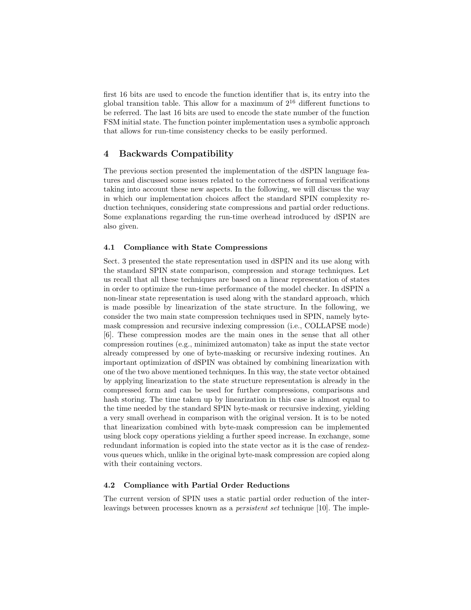first 16 bits are used to encode the function identifier that is, its entry into the global transition table. This allow for a maximum of  $2^{16}$  different functions to be referred. The last 16 bits are used to encode the state number of the function FSM initial state. The function pointer implementation uses a symbolic approach that allows for run-time consistency checks to be easily performed.

# **4 Backwards Compatibility**

The previous section presented the implementation of the dSPIN language features and discussed some issues related to the correctness of formal verifications taking into account these new aspects. In the following, we will discuss the way in which our implementation choices affect the standard SPIN complexity reduction techniques, considering state compressions and partial order reductions. Some explanations regarding the run-time overhead introduced by dSPIN are also given.

# **4.1 Compliance with State Compressions**

Sect. 3 presented the state representation used in dSPIN and its use along with the standard SPIN state comparison, compression and storage techniques. Let us recall that all these techniques are based on a linear representation of states in order to optimize the run-time performance of the model checker. In dSPIN a non-linear state representation is used along with the standard approach, which is made possible by linearization of the state structure. In the following, we consider the two main state compression techniques used in SPIN, namely bytemask compression and recursive indexing compression (i.e., COLLAPSE mode) [6]. These compression modes are the main ones in the sense that all other compression routines (e.g., minimized automaton) take as input the state vector already compressed by one of byte-masking or recursive indexing routines. An important optimization of dSPIN was obtained by combining linearization with one of the two above mentioned techniques. In this way, the state vector obtained by applying linearization to the state structure representation is already in the compressed form and can be used for further compressions, comparisons and hash storing. The time taken up by linearization in this case is almost equal to the time needed by the standard SPIN byte-mask or recursive indexing, yielding a very small overhead in comparison with the original version. It is to be noted that linearization combined with byte-mask compression can be implemented using block copy operations yielding a further speed increase. In exchange, some redundant information is copied into the state vector as it is the case of rendezvous queues which, unlike in the original byte-mask compression are copied along with their containing vectors.

# **4.2 Compliance with Partial Order Reductions**

The current version of SPIN uses a static partial order reduction of the interleavings between processes known as a persistent set technique [10]. The imple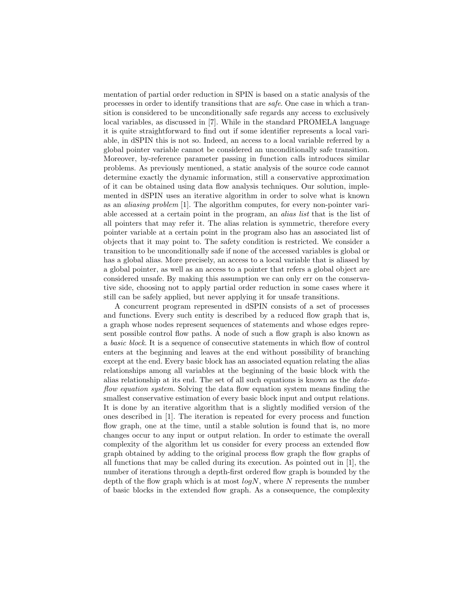mentation of partial order reduction in SPIN is based on a static analysis of the processes in order to identify transitions that are safe. One case in which a transition is considered to be unconditionally safe regards any access to exclusively local variables, as discussed in [7]. While in the standard PROMELA language it is quite straightforward to find out if some identifier represents a local variable, in dSPIN this is not so. Indeed, an access to a local variable referred by a global pointer variable cannot be considered an unconditionally safe transition. Moreover, by-reference parameter passing in function calls introduces similar problems. As previously mentioned, a static analysis of the source code cannot determine exactly the dynamic information, still a conservative approximation of it can be obtained using data flow analysis techniques. Our solution, implemented in dSPIN uses an iterative algorithm in order to solve what is known as an aliasing problem [1]. The algorithm computes, for every non-pointer variable accessed at a certain point in the program, an alias list that is the list of all pointers that may refer it. The alias relation is symmetric, therefore every pointer variable at a certain point in the program also has an associated list of objects that it may point to. The safety condition is restricted. We consider a transition to be unconditionally safe if none of the accessed variables is global or has a global alias. More precisely, an access to a local variable that is aliased by a global pointer, as well as an access to a pointer that refers a global object are considered unsafe. By making this assumption we can only err on the conservative side, choosing not to apply partial order reduction in some cases where it still can be safely applied, but never applying it for unsafe transitions.

A concurrent program represented in dSPIN consists of a set of processes and functions. Every such entity is described by a reduced flow graph that is, a graph whose nodes represent sequences of statements and whose edges represent possible control flow paths. A node of such a flow graph is also known as a basic block. It is a sequence of consecutive statements in which flow of control enters at the beginning and leaves at the end without possibility of branching except at the end. Every basic block has an associated equation relating the alias relationships among all variables at the beginning of the basic block with the alias relationship at its end. The set of all such equations is known as the dataflow equation system. Solving the data flow equation system means finding the smallest conservative estimation of every basic block input and output relations. It is done by an iterative algorithm that is a slightly modified version of the ones described in [1]. The iteration is repeated for every process and function flow graph, one at the time, until a stable solution is found that is, no more changes occur to any input or output relation. In order to estimate the overall complexity of the algorithm let us consider for every process an extended flow graph obtained by adding to the original process flow graph the flow graphs of all functions that may be called during its execution. As pointed out in [1], the number of iterations through a depth-first ordered flow graph is bounded by the depth of the flow graph which is at most  $log N$ , where N represents the number of basic blocks in the extended flow graph. As a consequence, the complexity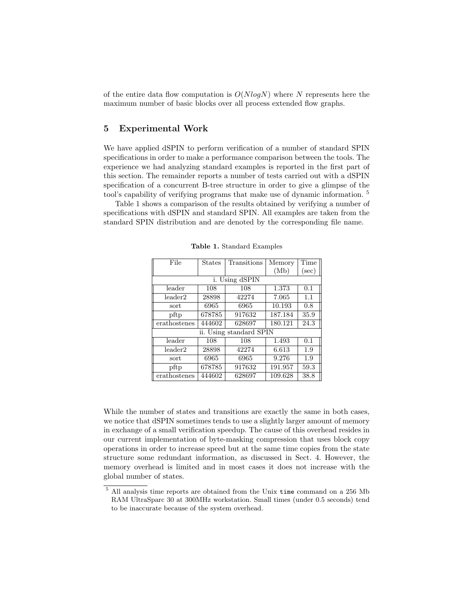of the entire data flow computation is  $O(N \log N)$  where N represents here the maximum number of basic blocks over all process extended flow graphs.

# **5 Experimental Work**

We have applied dSPIN to perform verification of a number of standard SPIN specifications in order to make a performance comparison between the tools. The experience we had analyzing standard examples is reported in the first part of this section. The remainder reports a number of tests carried out with a dSPIN specification of a concurrent B-tree structure in order to give a glimpse of the tool's capability of verifying programs that make use of dynamic information. <sup>5</sup>

Table 1 shows a comparison of the results obtained by verifying a number of specifications with dSPIN and standard SPIN. All examples are taken from the standard SPIN distribution and are denoted by the corresponding file name.

| File                    | <b>States</b> | Transitions | Memory  | Time     |  |  |  |  |
|-------------------------|---------------|-------------|---------|----------|--|--|--|--|
|                         |               |             | (Mb)    | $(\sec)$ |  |  |  |  |
| i. Using dSPIN          |               |             |         |          |  |  |  |  |
| leader                  | 108           | 108         | 1.373   | 0.1      |  |  |  |  |
| leader2                 | 28898         | 42274       | 7.065   | 1.1      |  |  |  |  |
| sort                    | 6965          | 6965        | 10.193  | 0.8      |  |  |  |  |
| pftp                    | 678785        | 917632      | 187.184 | 35.9     |  |  |  |  |
| erathostenes            | 444602        | 628697      | 180.121 | 24.3     |  |  |  |  |
| ii. Using standard SPIN |               |             |         |          |  |  |  |  |
| leader                  | 108           | 108         | 1.493   | 0.1      |  |  |  |  |
| leader2                 | 28898         | 42274       | 6.613   | 1.9      |  |  |  |  |
| sort                    | 6965          | 6965        | 9.276   | 1.9      |  |  |  |  |
| pftp                    | 678785        | 917632      | 191.957 | 59.3     |  |  |  |  |
| erathostenes            | 444602        | 628697      | 109.628 | 38.8     |  |  |  |  |

**Table 1.** Standard Examples

While the number of states and transitions are exactly the same in both cases, we notice that dSPIN sometimes tends to use a slightly larger amount of memory in exchange of a small verification speedup. The cause of this overhead resides in our current implementation of byte-masking compression that uses block copy operations in order to increase speed but at the same time copies from the state structure some redundant information, as discussed in Sect. 4. However, the memory overhead is limited and in most cases it does not increase with the global number of states.

 $\overline{5}$  All analysis time reports are obtained from the Unix time command on a 256 Mb RAM UltraSparc 30 at 300MHz workstation. Small times (under 0.5 seconds) tend to be inaccurate because of the system overhead.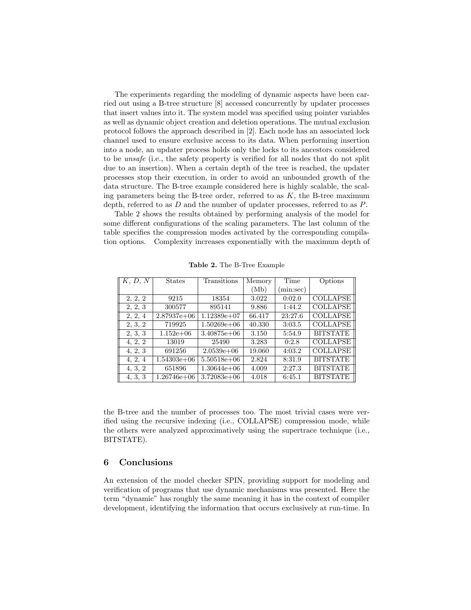The experiments regarding the modeling of dynamic aspects have been carried out using a B-tree structure [8] accessed concurrently by updater processes that insert values into it. The system model was specified using pointer variables as well as dynamic object creation and deletion operations. The mutual exclusion protocol follows the approach described in [2]. Each node has an associated lock channel used to ensure exclusive access to its data. When performing insertion into a node, an updater process holds only the locks to its ancestors considered to be *unsafe* (i.e., the safety property is verified for all nodes that do not split due to an insertion). When a certain depth of the tree is reached, the updater processes stop their execution, in order to avoid an unbounded growth of the data structure. The B-tree example considered here is highly scalable, the scaling parameters being the B-tree order, referred to as  $K$ , the B-tree maximum depth, referred to as D and the number of updater processes, referred to as P.

Table 2 shows the results obtained by performing analysis of the model for some different configurations of the scaling parameters. The last column of the table specifies the compression modes activated by the corresponding compilation options. Complexity increases exponentially with the maximum depth of

| $\n  K, D, N\n$ | <b>States</b>   | Transitions     | Memory | Time      | Options         |
|-----------------|-----------------|-----------------|--------|-----------|-----------------|
|                 |                 |                 | (Mb)   | (min:sec) |                 |
| 2, 2, 2         | 9215            | 18354           | 3.022  | 0:02.0    | <b>COLLAPSE</b> |
| 2, 2, 3         | 300577          | 895141          | 9.886  | 1:44.2    | <b>COLLAPSE</b> |
| 2, 2, 4         | $2.87937e+06$   | $1.12389e+07$   | 66.417 | 23:27.6   | <b>COLLAPSE</b> |
| 2, 3, 2         | 719925          | $1.50269e + 06$ | 40.330 | 3:03.5    | <b>COLLAPSE</b> |
| 2, 3, 3         | $1.152e+06$     | $3.40875e+06$   | 3.150  | 5:54.9    | <b>BITSTATE</b> |
| 4, 2, 2         | 13019           | 25490           | 3.283  | 0:2.8     | <b>COLLAPSE</b> |
| 4, 2, 3         | 691256          | $2.0539e + 06$  | 19.060 | 4:03.2    | <b>COLLAPSE</b> |
| 4, 2, 4         | $1.54303e+06$   | $5.50518e + 06$ | 2.824  | 8:31.9    | <b>BITSTATE</b> |
| 4, 3, 2         | 651896          | $1.30644e+06$   | 4.009  | 2:27.3    | <b>BITSTATE</b> |
| 4, 3, 3         | $1.26746e + 06$ | $3.72083e+06$   | 4.018  | 6:45.1    | <b>BITSTATE</b> |

**Table 2.** The B-Tree Example

the B-tree and the number of processes too. The most trivial cases were verified using the recursive indexing (i.e., COLLAPSE) compression mode, while the others were analyzed approximatively using the supertrace technique (i.e., BITSTATE).

## **6 Conclusions**

An extension of the model checker SPIN, providing support for modeling and verification of programs that use dynamic mechanisms was presented. Here the term "dynamic" has roughly the same meaning it has in the context of compiler development, identifying the information that occurs exclusively at run-time. In